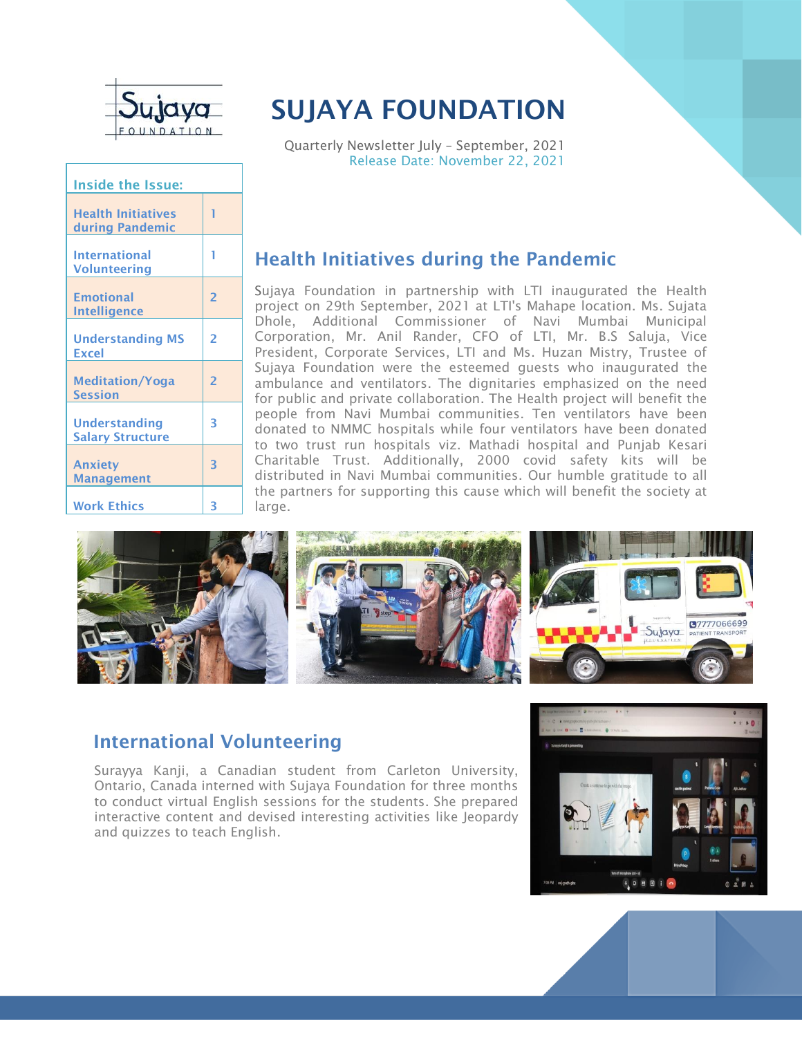

| <b>Inside the Issue:</b>                     |                |  |
|----------------------------------------------|----------------|--|
| <b>Health Initiatives</b><br>during Pandemic | 1              |  |
| <b>International</b><br><b>Volunteering</b>  | 1              |  |
| <b>Emotional</b><br><b>Intelligence</b>      | $\overline{2}$ |  |
| <b>Understanding MS</b><br><b>Excel</b>      | $\overline{2}$ |  |
| <b>Meditation/Yoga</b><br><b>Session</b>     | $\overline{2}$ |  |
| Understanding<br><b>Salary Structure</b>     | 3              |  |
| <b>Anxiety</b><br><b>Management</b>          | 3              |  |
| <b>Work Ethics</b>                           | 3              |  |

# **SUJAYA FOUNDATION**

Quarterly Newsletter July – September, 2021 Release Date: November 22, 2021

# **Health Initiatives during the Pandemic**

Sujaya Foundation in partnership with LTI inaugurated the Health project on 29th September, 2021 at LTI's Mahape location. Ms. Sujata Dhole, Additional Commissioner of Navi Mumbai Municipal Corporation, Mr. Anil Rander, CFO of LTI, Mr. B.S Saluja, Vice President, Corporate Services, LTI and Ms. Huzan Mistry, Trustee of Sujaya Foundation were the esteemed guests who inaugurated the ambulance and ventilators. The dignitaries emphasized on the need for public and private collaboration. The Health project will benefit the people from Navi Mumbai communities. Ten ventilators have been donated to NMMC hospitals while four ventilators have been donated to two trust run hospitals viz. Mathadi hospital and Punjab Kesari Charitable Trust. Additionally, 2000 covid safety kits will be distributed in Navi Mumbai communities. Our humble gratitude to all the partners for supporting this cause which will benefit the society at large.



### **International Volunteering**

Surayya Kanji, a Canadian student from Carleton University, Ontario, Canada interned with Sujaya Foundation for three months to conduct virtual English sessions for the students. She prepared interactive content and devised interesting activities like Jeopardy and quizzes to teach English.

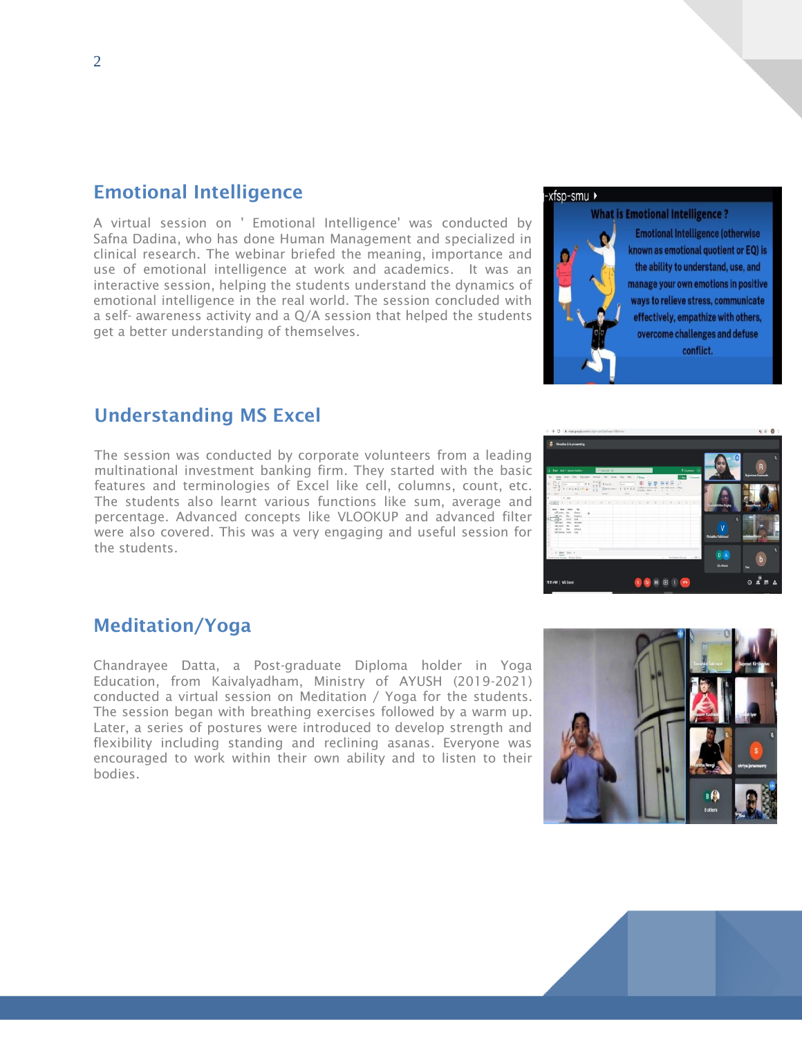### **Emotional Intelligence**

A virtual session on ' Emotional Intelligence' was conducted by Safna Dadina, who has done Human Management and specialized in clinical research. The webinar briefed the meaning, importance and use of emotional intelligence at work and academics. It was an interactive session, helping the students understand the dynamics of emotional intelligence in the real world. The session concluded with a self- awareness activity and a Q/A session that helped the students get a better understanding of themselves.

### -xfsp-smu ▶

### **What is Emotional Intelligence?**



**Emotional Intelligence (otherwise** known as emotional quotient or EQ) is the ability to understand, use, and manage your own emotions in positive ways to relieve stress, communicate effectively, empathize with others, overcome challenges and defuse conflict.

### **Understanding MS Excel**

The session was conducted by corporate volunteers from a leading multinational investment banking firm. They started with the basic features and terminologies of Excel like cell, columns, count, etc. The students also learnt various functions like sum, average and percentage. Advanced concepts like VLOOKUP and advanced filter were also covered. This was a very engaging and useful session for the students.

# 000000

### **Meditation/Yoga**

Chandrayee Datta, a Post-graduate Diploma holder in Yoga Education, from Kaivalyadham, Ministry of AYUSH (2019-2021) conducted a virtual session on Meditation / Yoga for the students. The session began with breathing exercises followed by a warm up. Later, a series of postures were introduced to develop strength and flexibility including standing and reclining asanas. Everyone was encouraged to work within their own ability and to listen to their bodies.